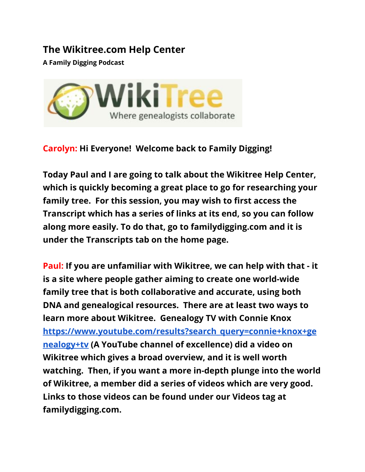## **The Wikitree.com Help Center**

**A Family Digging Podcast**



## **Carolyn: Hi Everyone! Welcome back to Family Digging!**

**Today Paul and I are going to talk about the Wikitree Help Center, which is quickly becoming a great place to go for researching your family tree. For this session, you may wish to first access the Transcript which has a series of links at its end, so you can follow along more easily. To do that, go to familydigging.com and it is under the Transcripts tab on the home page.**

**Paul: If you are unfamiliar with Wikitree, we can help with that - it is a site where people gather aiming to create one world-wide family tree that is both collaborative and accurate, using both DNA and genealogical resources. There are at least two ways to learn more about Wikitree. Genealogy TV with Connie Knox [https://www.youtube.com/results?search\\_query=connie+knox+ge](https://www.youtube.com/results?search_query=connie+knox+genealogy+tv) [nealogy+tv](https://www.youtube.com/results?search_query=connie+knox+genealogy+tv) (A YouTube channel of excellence) did a video on Wikitree which gives a broad overview, and it is well worth watching. Then, if you want a more in-depth plunge into the world of Wikitree, a member did a series of videos which are very good. Links to those videos can be found under our Videos tag at familydigging.com.**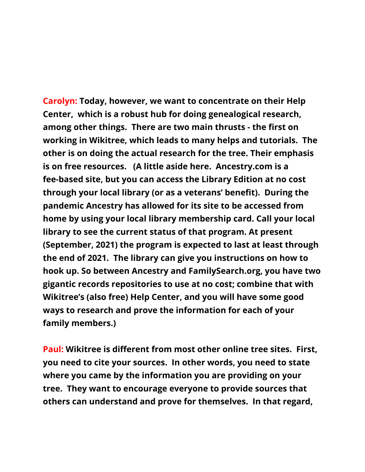**Carolyn: Today, however, we want to concentrate on their Help Center, which is a robust hub for doing genealogical research, among other things. There are two main thrusts - the first on working in Wikitree, which leads to many helps and tutorials. The other is on doing the actual research for the tree. Their emphasis is on free resources. (A little aside here. Ancestry.com is a fee-based site, but you can access the Library Edition at no cost through your local library (or as a veterans' benefit). During the pandemic Ancestry has allowed for its site to be accessed from home by using your local library membership card. Call your local library to see the current status of that program. At present (September, 2021) the program is expected to last at least through the end of 2021. The library can give you instructions on how to hook up. So between Ancestry and FamilySearch.org, you have two gigantic records repositories to use at no cost; combine that with Wikitree's (also free) Help Center, and you will have some good ways to research and prove the information for each of your family members.)**

**Paul: Wikitree is different from most other online tree sites. First, you need to cite your sources. In other words, you need to state where you came by the information you are providing on your tree. They want to encourage everyone to provide sources that others can understand and prove for themselves. In that regard,**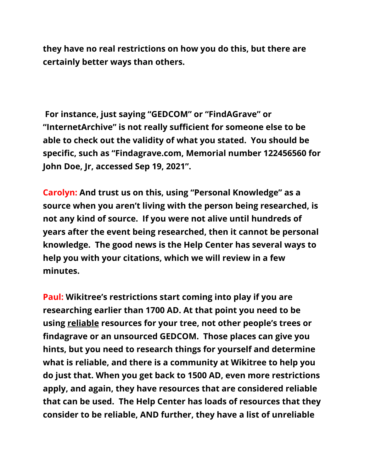**they have no real restrictions on how you do this, but there are certainly better ways than others.**

**For instance, just saying "GEDCOM" or "FindAGrave" or "InternetArchive" is not really sufficient for someone else to be able to check out the validity of what you stated. You should be specific, such as "Findagrave.com, Memorial number 122456560 for John Doe, Jr, accessed Sep 19, 2021".**

**Carolyn: And trust us on this, using "Personal Knowledge" as a source when you aren't living with the person being researched, is not any kind of source. If you were not alive until hundreds of years after the event being researched, then it cannot be personal knowledge. The good news is the Help Center has several ways to help you with your citations, which we will review in a few minutes.**

**Paul: Wikitree's restrictions start coming into play if you are researching earlier than 1700 AD. At that point you need to be using reliable resources for your tree, not other people's trees or findagrave or an unsourced GEDCOM. Those places can give you hints, but you need to research things for yourself and determine what is reliable, and there is a community at Wikitree to help you do just that. When you get back to 1500 AD, even more restrictions apply, and again, they have resources that are considered reliable that can be used. The Help Center has loads of resources that they consider to be reliable, AND further, they have a list of unreliable**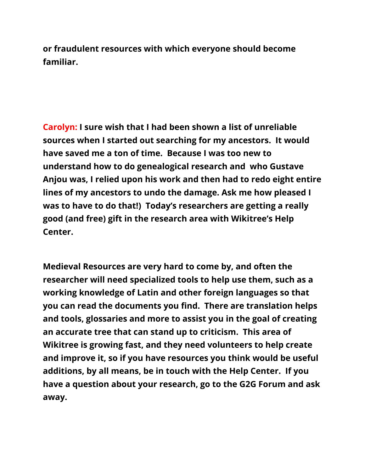**or fraudulent resources with which everyone should become familiar.**

**Carolyn: I sure wish that I had been shown a list of unreliable sources when I started out searching for my ancestors. It would have saved me a ton of time. Because I was too new to understand how to do genealogical research and who Gustave Anjou was, I relied upon his work and then had to redo eight entire lines of my ancestors to undo the damage. Ask me how pleased I was to have to do that!) Today's researchers are getting a really good (and free) gift in the research area with Wikitree's Help Center.**

**Medieval Resources are very hard to come by, and often the researcher will need specialized tools to help use them, such as a working knowledge of Latin and other foreign languages so that you can read the documents you find. There are translation helps and tools, glossaries and more to assist you in the goal of creating an accurate tree that can stand up to criticism. This area of Wikitree is growing fast, and they need volunteers to help create and improve it, so if you have resources you think would be useful additions, by all means, be in touch with the Help Center. If you have a question about your research, go to the G2G Forum and ask away.**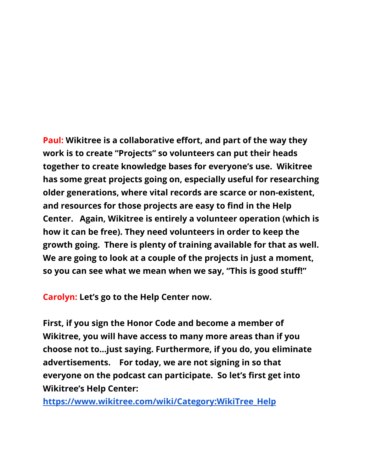**Paul: Wikitree is a collaborative effort, and part of the way they work is to create "Projects" so volunteers can put their heads together to create knowledge bases for everyone's use. Wikitree has some great projects going on, especially useful for researching older generations, where vital records are scarce or non-existent, and resources for those projects are easy to find in the Help Center. Again, Wikitree is entirely a volunteer operation (which is how it can be free). They need volunteers in order to keep the growth going. There is plenty of training available for that as well. We are going to look at a couple of the projects in just a moment, so you can see what we mean when we say, "This is good stuff!"**

**Carolyn: Let's go to the Help Center now.**

**First, if you sign the Honor Code and become a member of Wikitree, you will have access to many more areas than if you choose not to...just saying. Furthermore, if you do, you eliminate advertisements. For today, we are not signing in so that everyone on the podcast can participate. So let's first get into Wikitree's Help Center:**

**[https://www.wikitree.com/wiki/Category:WikiTree\\_Help](https://www.wikitree.com/wiki/Category:WikiTree_Help)**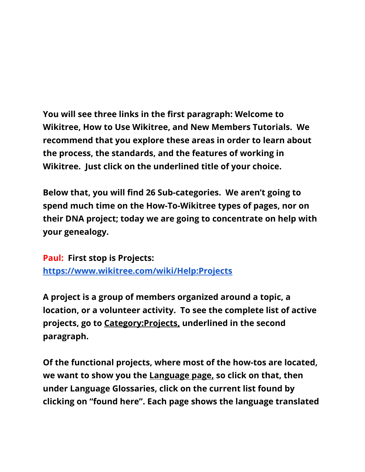**You will see three links in the first paragraph: Welcome to Wikitree, How to Use Wikitree, and New Members Tutorials. We recommend that you explore these areas in order to learn about the process, the standards, and the features of working in Wikitree. Just click on the underlined title of your choice.**

**Below that, you will find 26 Sub-categories. We aren't going to spend much time on the How-To-Wikitree types of pages, nor on their DNA project; today we are going to concentrate on help with your genealogy.**

**Paul: First stop is Projects: [https://www.wikitree.com/wiki/Help:Projects](https://www.wikitree.com/wiki/Projects)**

**A project is a group of members organized around a topic, a location, or a volunteer activity. To see the complete list of active projects, go to Category:Projects, underlined in the second paragraph.**

**Of the functional projects, where most of the how-tos are located, we want to show you the Language page, so click on that, then under Language Glossaries, click on the current list found by clicking on "found here". Each page shows the language translated**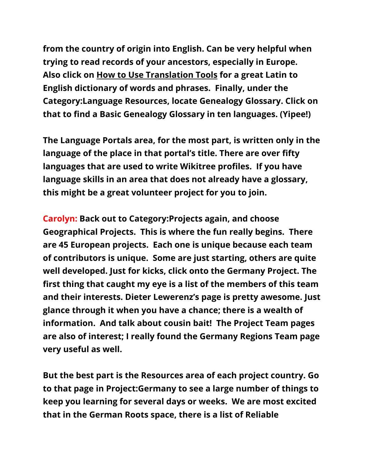**from the country of origin into English. Can be very helpful when trying to read records of your ancestors, especially in Europe. Also click on How to Use Translation Tools for a great Latin to English dictionary of words and phrases. Finally, under the Category:Language Resources, locate Genealogy Glossary. Click on that to find a Basic Genealogy Glossary in ten languages. (Yipee!)**

**The Language Portals area, for the most part, is written only in the language of the place in that portal's title. There are over fifty languages that are used to write Wikitree profiles. If you have language skills in an area that does not already have a glossary, this might be a great volunteer project for you to join.**

**Carolyn: Back out to Category:Projects again, and choose Geographical Projects. This is where the fun really begins. There are 45 European projects. Each one is unique because each team of contributors is unique. Some are just starting, others are quite well developed. Just for kicks, click onto the Germany Project. The first thing that caught my eye is a list of the members of this team and their interests. Dieter Lewerenz's page is pretty awesome. Just glance through it when you have a chance; there is a wealth of information. And talk about cousin bait! The Project Team pages are also of interest; I really found the Germany Regions Team page very useful as well.**

**But the best part is the Resources area of each project country. Go to that page in Project:Germany to see a large number of things to keep you learning for several days or weeks. We are most excited that in the German Roots space, there is a list of Reliable**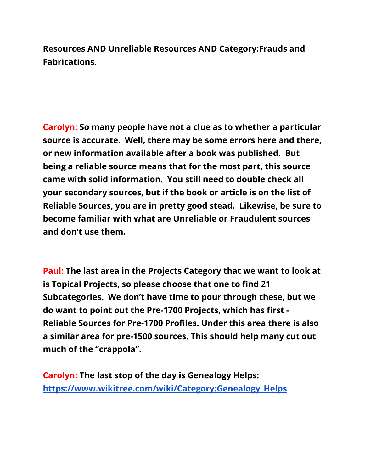**Resources AND Unreliable Resources AND Category:Frauds and Fabrications.**

**Carolyn: So many people have not a clue as to whether a particular source is accurate. Well, there may be some errors here and there, or new information available after a book was published. But being a reliable source means that for the most part, this source came with solid information. You still need to double check all your secondary sources, but if the book or article is on the list of Reliable Sources, you are in pretty good stead. Likewise, be sure to become familiar with what are Unreliable or Fraudulent sources and don't use them.**

**Paul: The last area in the Projects Category that we want to look at is Topical Projects, so please choose that one to find 21 Subcategories. We don't have time to pour through these, but we do want to point out the Pre-1700 Projects, which has first - Reliable Sources for Pre-1700 Profiles. Under this area there is also a similar area for pre-1500 sources. This should help many cut out much of the "crappola".**

**Carolyn: The last stop of the day is Genealogy Helps: [https://www.wikitree.com/wiki/Category:Genealogy\\_Helps](https://www.wikitree.com/wiki/Category:Genealogy_Helps)**